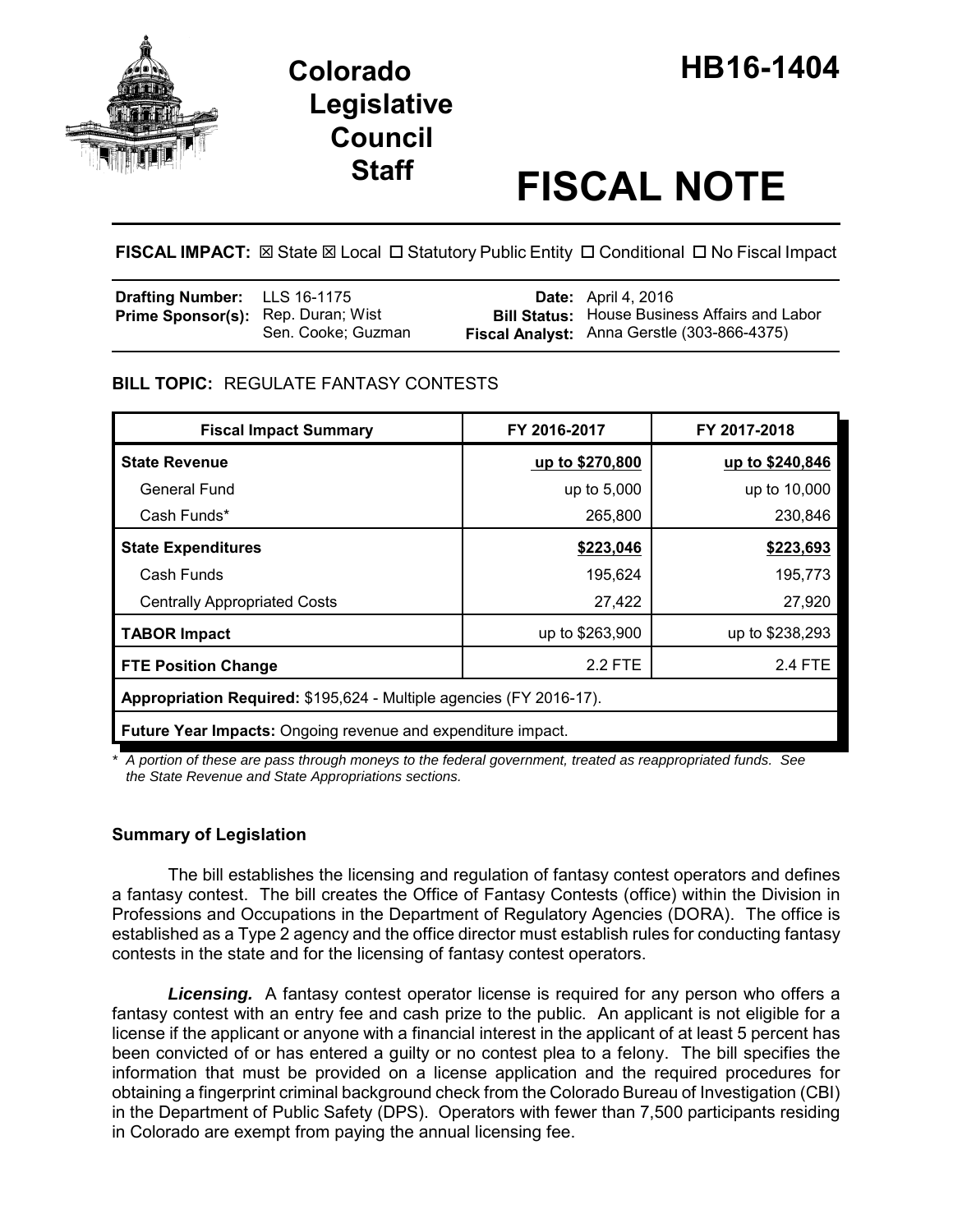

# **Legislative Council**

## **Staff FISCAL NOTE**

FISCAL IMPACT:  $\boxtimes$  State  $\boxtimes$  Local  $\Box$  Statutory Public Entity  $\Box$  Conditional  $\Box$  No Fiscal Impact

| <b>Drafting Number:</b> LLS 16-1175       |                    | <b>Date:</b> April 4, 2016                                                                          |
|-------------------------------------------|--------------------|-----------------------------------------------------------------------------------------------------|
| <b>Prime Sponsor(s):</b> Rep. Duran; Wist | Sen. Cooke; Guzman | <b>Bill Status:</b> House Business Affairs and Labor<br>Fiscal Analyst: Anna Gerstle (303-866-4375) |

#### **BILL TOPIC:** REGULATE FANTASY CONTESTS

| <b>Fiscal Impact Summary</b>                                        | FY 2016-2017    | FY 2017-2018    |  |  |
|---------------------------------------------------------------------|-----------------|-----------------|--|--|
| <b>State Revenue</b>                                                | up to \$270,800 | up to \$240,846 |  |  |
| General Fund                                                        | up to 5,000     | up to 10,000    |  |  |
| Cash Funds*                                                         | 265,800         | 230,846         |  |  |
| <b>State Expenditures</b>                                           | \$223,046       | \$223,693       |  |  |
| Cash Funds                                                          | 195,624         | 195,773         |  |  |
| <b>Centrally Appropriated Costs</b>                                 | 27,422          | 27,920          |  |  |
| <b>TABOR Impact</b>                                                 | up to \$263,900 | up to \$238,293 |  |  |
| <b>FTE Position Change</b>                                          | 2.2 FTE         | 2.4 FTE         |  |  |
| Appropriation Required: \$195,624 - Multiple agencies (FY 2016-17). |                 |                 |  |  |
| Future Year Impacts: Ongoing revenue and expenditure impact.        |                 |                 |  |  |

*\* A portion of these are pass through moneys to the federal government, treated as reappropriated funds. See the State Revenue and State Appropriations sections.*

#### **Summary of Legislation**

The bill establishes the licensing and regulation of fantasy contest operators and defines a fantasy contest. The bill creates the Office of Fantasy Contests (office) within the Division in Professions and Occupations in the Department of Regulatory Agencies (DORA). The office is established as a Type 2 agency and the office director must establish rules for conducting fantasy contests in the state and for the licensing of fantasy contest operators.

*Licensing.* A fantasy contest operator license is required for any person who offers a fantasy contest with an entry fee and cash prize to the public. An applicant is not eligible for a license if the applicant or anyone with a financial interest in the applicant of at least 5 percent has been convicted of or has entered a guilty or no contest plea to a felony. The bill specifies the information that must be provided on a license application and the required procedures for obtaining a fingerprint criminal background check from the Colorado Bureau of Investigation (CBI) in the Department of Public Safety (DPS). Operators with fewer than 7,500 participants residing in Colorado are exempt from paying the annual licensing fee.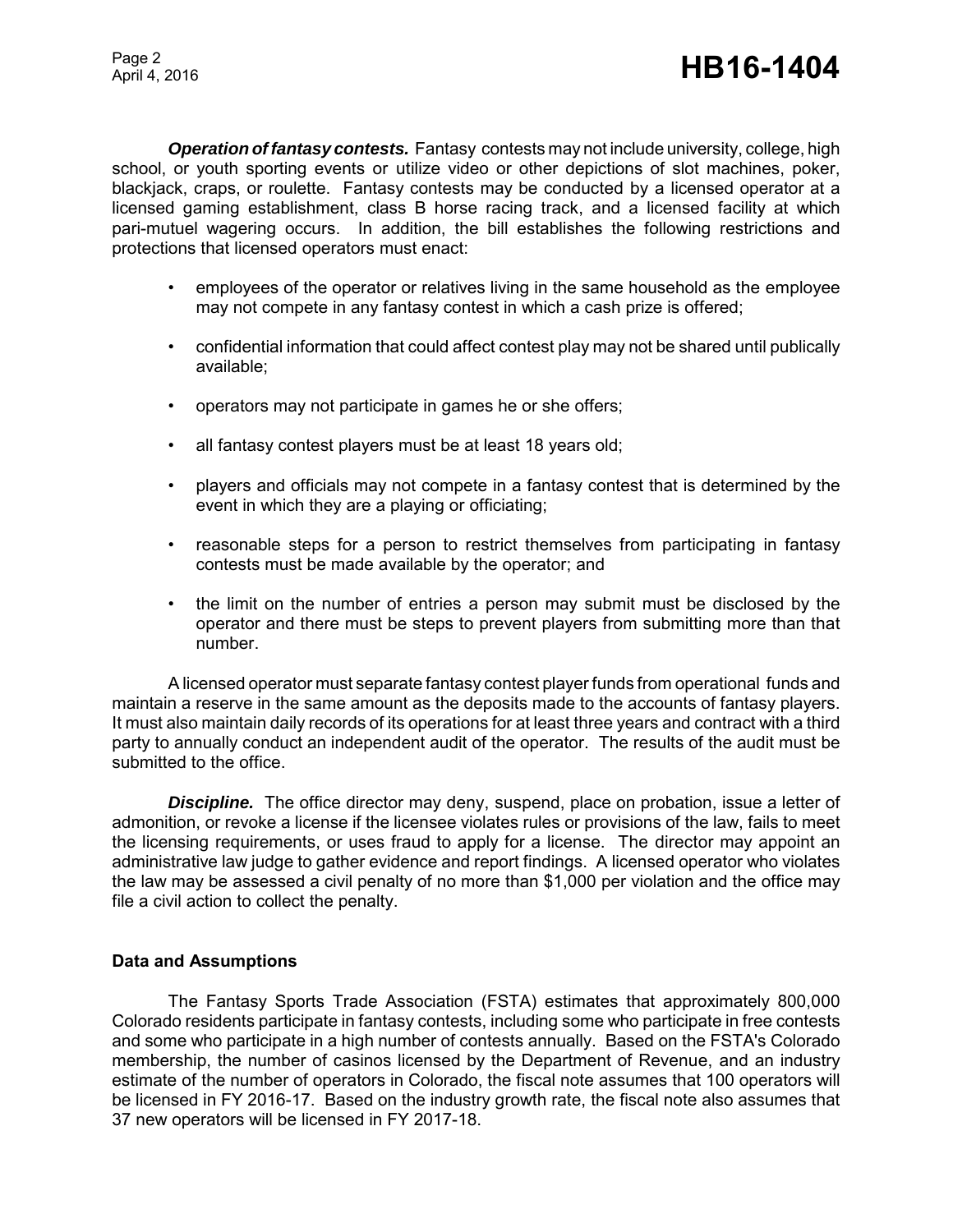*Operation of fantasy contests.* Fantasy contests may not include university, college, high school, or youth sporting events or utilize video or other depictions of slot machines, poker, blackjack, craps, or roulette. Fantasy contests may be conducted by a licensed operator at a licensed gaming establishment, class B horse racing track, and a licensed facility at which pari-mutuel wagering occurs. In addition, the bill establishes the following restrictions and protections that licensed operators must enact:

- employees of the operator or relatives living in the same household as the employee may not compete in any fantasy contest in which a cash prize is offered;
- confidential information that could affect contest play may not be shared until publically available;
- operators may not participate in games he or she offers;
- all fantasy contest players must be at least 18 years old;
- players and officials may not compete in a fantasy contest that is determined by the event in which they are a playing or officiating;
- reasonable steps for a person to restrict themselves from participating in fantasy contests must be made available by the operator; and
- the limit on the number of entries a person may submit must be disclosed by the operator and there must be steps to prevent players from submitting more than that number.

A licensed operator must separate fantasy contest player funds from operational funds and maintain a reserve in the same amount as the deposits made to the accounts of fantasy players. It must also maintain daily records of its operations for at least three years and contract with a third party to annually conduct an independent audit of the operator. The results of the audit must be submitted to the office.

**Discipline.** The office director may deny, suspend, place on probation, issue a letter of admonition, or revoke a license if the licensee violates rules or provisions of the law, fails to meet the licensing requirements, or uses fraud to apply for a license. The director may appoint an administrative law judge to gather evidence and report findings. A licensed operator who violates the law may be assessed a civil penalty of no more than \$1,000 per violation and the office may file a civil action to collect the penalty.

#### **Data and Assumptions**

The Fantasy Sports Trade Association (FSTA) estimates that approximately 800,000 Colorado residents participate in fantasy contests, including some who participate in free contests and some who participate in a high number of contests annually. Based on the FSTA's Colorado membership, the number of casinos licensed by the Department of Revenue, and an industry estimate of the number of operators in Colorado, the fiscal note assumes that 100 operators will be licensed in FY 2016-17. Based on the industry growth rate, the fiscal note also assumes that 37 new operators will be licensed in FY 2017-18.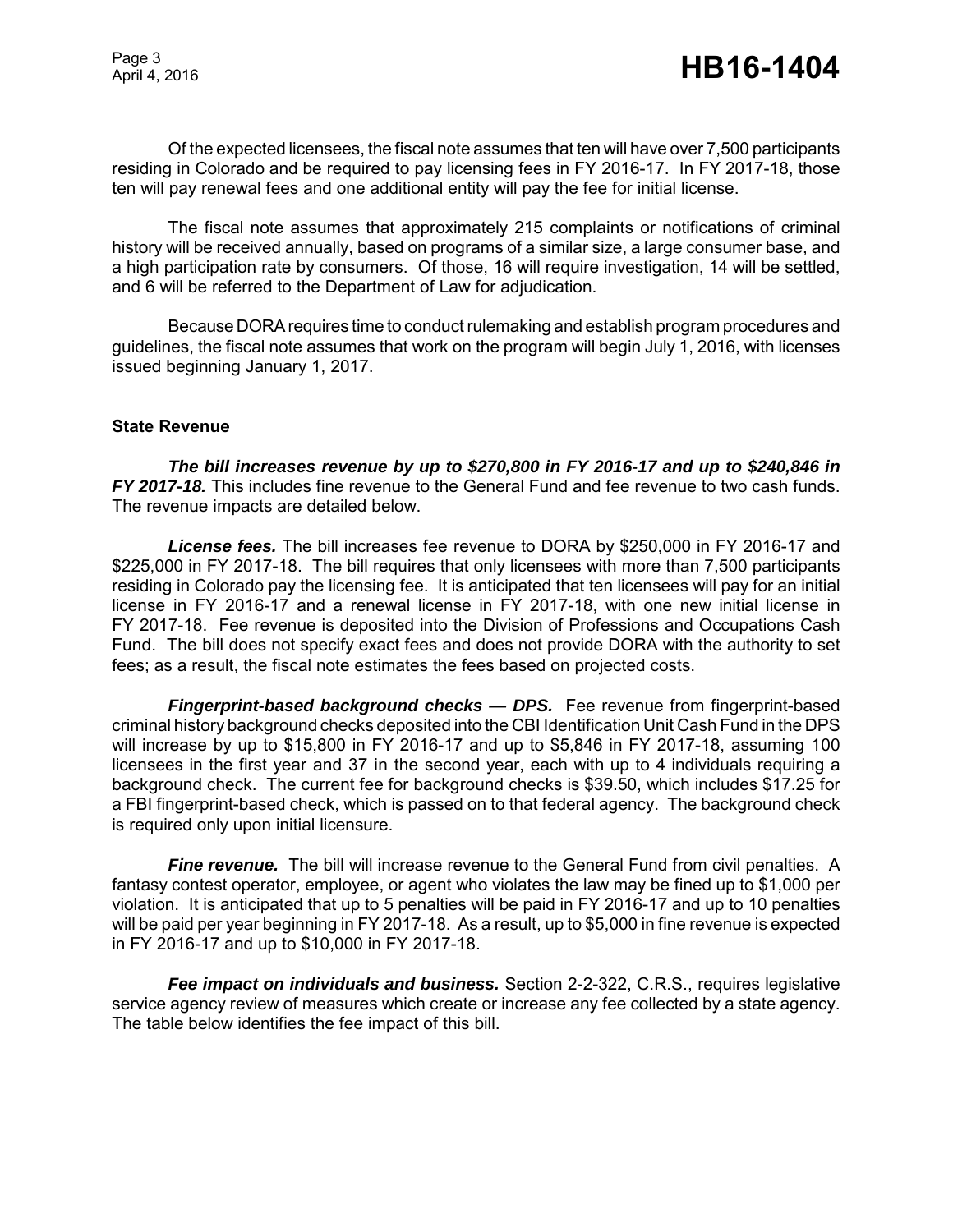Of the expected licensees, the fiscal note assumes that ten will have over 7,500 participants residing in Colorado and be required to pay licensing fees in FY 2016-17. In FY 2017-18, those ten will pay renewal fees and one additional entity will pay the fee for initial license.

The fiscal note assumes that approximately 215 complaints or notifications of criminal history will be received annually, based on programs of a similar size, a large consumer base, and a high participation rate by consumers. Of those, 16 will require investigation, 14 will be settled, and 6 will be referred to the Department of Law for adjudication.

Because DORA requires time to conduct rulemaking and establish program procedures and guidelines, the fiscal note assumes that work on the program will begin July 1, 2016, with licenses issued beginning January 1, 2017.

#### **State Revenue**

*The bill increases revenue by up to \$270,800 in FY 2016-17 and up to \$240,846 in FY 2017-18.* This includes fine revenue to the General Fund and fee revenue to two cash funds. The revenue impacts are detailed below.

*License fees.* The bill increases fee revenue to DORA by \$250,000 in FY 2016-17 and \$225,000 in FY 2017-18. The bill requires that only licensees with more than 7,500 participants residing in Colorado pay the licensing fee. It is anticipated that ten licensees will pay for an initial license in FY 2016-17 and a renewal license in FY 2017-18, with one new initial license in FY 2017-18. Fee revenue is deposited into the Division of Professions and Occupations Cash Fund. The bill does not specify exact fees and does not provide DORA with the authority to set fees; as a result, the fiscal note estimates the fees based on projected costs.

*Fingerprint-based background checks — DPS.* Fee revenue from fingerprint-based criminal history background checks deposited into the CBI Identification Unit Cash Fund in the DPS will increase by up to \$15,800 in FY 2016-17 and up to \$5,846 in FY 2017-18, assuming 100 licensees in the first year and 37 in the second year, each with up to 4 individuals requiring a background check. The current fee for background checks is \$39.50, which includes \$17.25 for a FBI fingerprint-based check, which is passed on to that federal agency. The background check is required only upon initial licensure.

**Fine revenue.** The bill will increase revenue to the General Fund from civil penalties. A fantasy contest operator, employee, or agent who violates the law may be fined up to \$1,000 per violation. It is anticipated that up to 5 penalties will be paid in FY 2016-17 and up to 10 penalties will be paid per year beginning in FY 2017-18. As a result, up to \$5,000 in fine revenue is expected in FY 2016-17 and up to \$10,000 in FY 2017-18.

*Fee impact on individuals and business.* Section 2-2-322, C.R.S., requires legislative service agency review of measures which create or increase any fee collected by a state agency. The table below identifies the fee impact of this bill.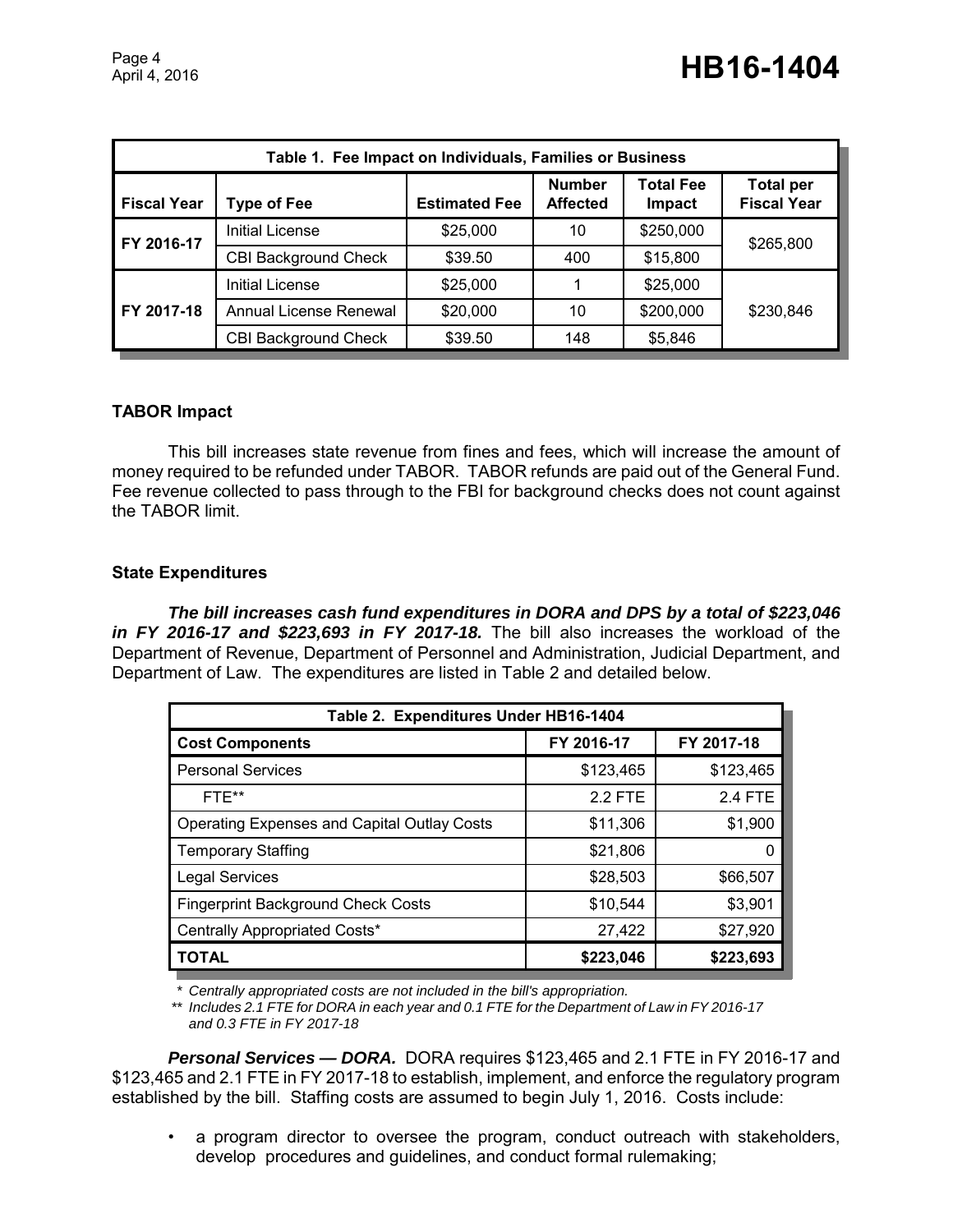| Table 1. Fee Impact on Individuals, Families or Business |                             |                      |                                  |                            |                                        |
|----------------------------------------------------------|-----------------------------|----------------------|----------------------------------|----------------------------|----------------------------------------|
| <b>Fiscal Year</b>                                       | <b>Type of Fee</b>          | <b>Estimated Fee</b> | <b>Number</b><br><b>Affected</b> | <b>Total Fee</b><br>Impact | <b>Total per</b><br><b>Fiscal Year</b> |
| FY 2016-17                                               | <b>Initial License</b>      | \$25,000             | 10                               | \$250,000                  | \$265,800                              |
|                                                          | <b>CBI Background Check</b> | \$39.50              | 400                              | \$15,800                   |                                        |
| FY 2017-18                                               | Initial License             | \$25,000             |                                  | \$25,000                   |                                        |
|                                                          | Annual License Renewal      | \$20,000             | 10                               | \$200,000                  | \$230,846                              |
|                                                          | <b>CBI Background Check</b> | \$39.50              | 148                              | \$5,846                    |                                        |

#### **TABOR Impact**

This bill increases state revenue from fines and fees, which will increase the amount of money required to be refunded under TABOR. TABOR refunds are paid out of the General Fund. Fee revenue collected to pass through to the FBI for background checks does not count against the TABOR limit.

#### **State Expenditures**

*The bill increases cash fund expenditures in DORA and DPS by a total of \$223,046 in FY 2016-17 and \$223,693 in FY 2017-18.* The bill also increases the workload of the Department of Revenue, Department of Personnel and Administration, Judicial Department, and Department of Law. The expenditures are listed in Table 2 and detailed below.

| Table 2. Expenditures Under HB16-1404              |            |            |  |  |  |
|----------------------------------------------------|------------|------------|--|--|--|
| <b>Cost Components</b>                             | FY 2016-17 | FY 2017-18 |  |  |  |
| <b>Personal Services</b>                           | \$123,465  | \$123,465  |  |  |  |
| FTE**                                              | 2.2 FTE    | 2.4 FTE    |  |  |  |
| <b>Operating Expenses and Capital Outlay Costs</b> | \$11,306   | \$1,900    |  |  |  |
| <b>Temporary Staffing</b>                          | \$21,806   |            |  |  |  |
| <b>Legal Services</b>                              | \$28,503   | \$66,507   |  |  |  |
| <b>Fingerprint Background Check Costs</b>          | \$10,544   | \$3,901    |  |  |  |
| Centrally Appropriated Costs*                      | 27,422     | \$27,920   |  |  |  |
| <b>TOTAL</b>                                       | \$223,046  | \$223,693  |  |  |  |

*\* Centrally appropriated costs are not included in the bill's appropriation.*

*\*\* Includes 2.1 FTE for DORA in each year and 0.1 FTE for the Department of Law in FY 2016-17 and 0.3 FTE in FY 2017-18*

*Personal Services — DORA.* DORA requires \$123,465 and 2.1 FTE in FY 2016-17 and \$123,465 and 2.1 FTE in FY 2017-18 to establish, implement, and enforce the regulatory program established by the bill. Staffing costs are assumed to begin July 1, 2016. Costs include:

a program director to oversee the program, conduct outreach with stakeholders, develop procedures and guidelines, and conduct formal rulemaking;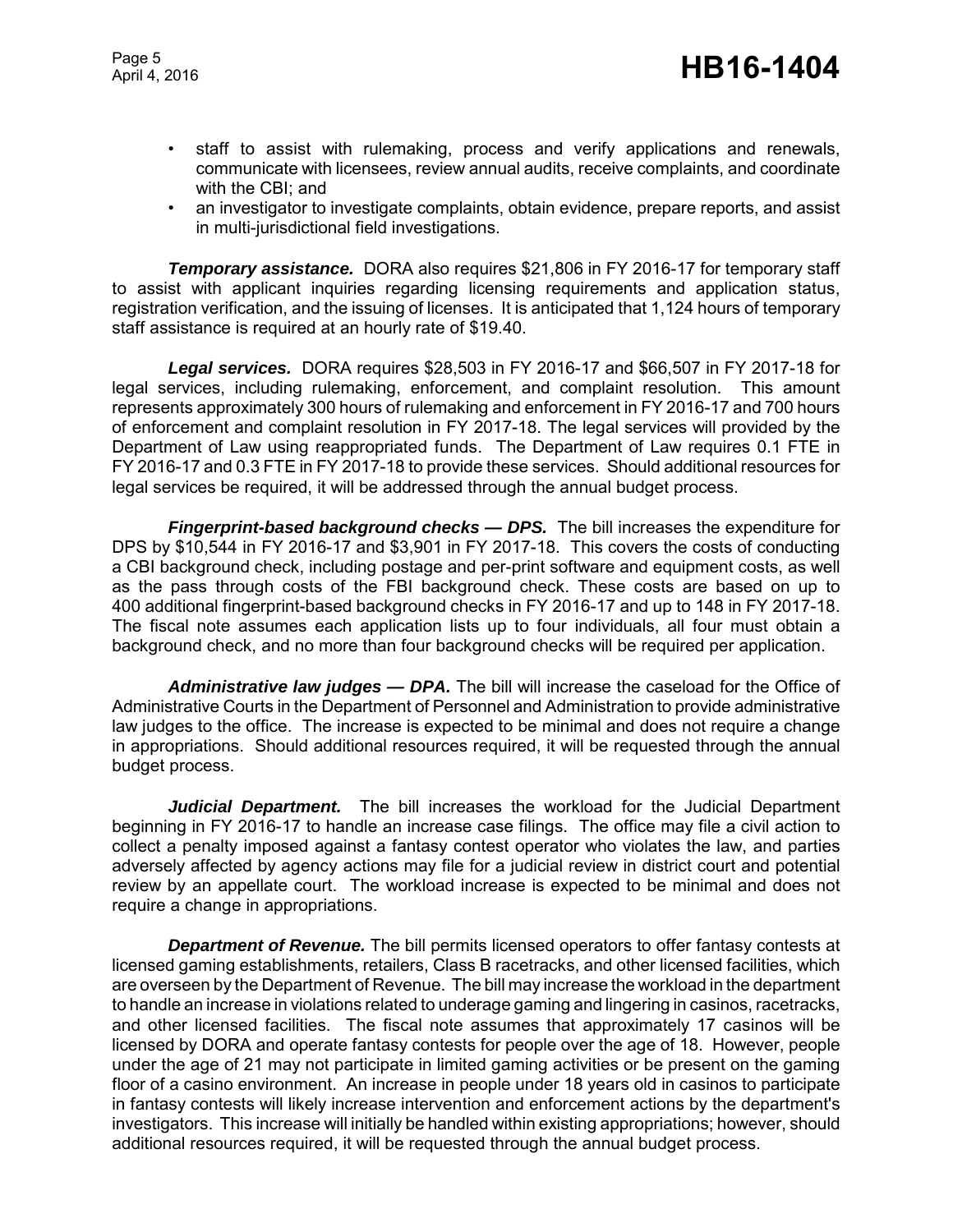Page 5

- staff to assist with rulemaking, process and verify applications and renewals, communicate with licensees, review annual audits, receive complaints, and coordinate with the CBI; and
- an investigator to investigate complaints, obtain evidence, prepare reports, and assist in multi-jurisdictional field investigations.

*Temporary assistance.* DORA also requires \$21,806 in FY 2016-17 for temporary staff to assist with applicant inquiries regarding licensing requirements and application status, registration verification, and the issuing of licenses. It is anticipated that 1,124 hours of temporary staff assistance is required at an hourly rate of \$19.40.

*Legal services.* DORA requires \$28,503 in FY 2016-17 and \$66,507 in FY 2017-18 for legal services, including rulemaking, enforcement, and complaint resolution. This amount represents approximately 300 hours of rulemaking and enforcement in FY 2016-17 and 700 hours of enforcement and complaint resolution in FY 2017-18. The legal services will provided by the Department of Law using reappropriated funds. The Department of Law requires 0.1 FTE in FY 2016-17 and 0.3 FTE in FY 2017-18 to provide these services. Should additional resources for legal services be required, it will be addressed through the annual budget process.

*Fingerprint-based background checks — DPS.* The bill increases the expenditure for DPS by \$10,544 in FY 2016-17 and \$3,901 in FY 2017-18. This covers the costs of conducting a CBI background check, including postage and per-print software and equipment costs, as well as the pass through costs of the FBI background check. These costs are based on up to 400 additional fingerprint-based background checks in FY 2016-17 and up to 148 in FY 2017-18. The fiscal note assumes each application lists up to four individuals, all four must obtain a background check, and no more than four background checks will be required per application.

*Administrative law judges — DPA.* The bill will increase the caseload for the Office of Administrative Courts in the Department of Personnel and Administration to provide administrative law judges to the office. The increase is expected to be minimal and does not require a change in appropriations. Should additional resources required, it will be requested through the annual budget process.

*Judicial Department.* The bill increases the workload for the Judicial Department beginning in FY 2016-17 to handle an increase case filings. The office may file a civil action to collect a penalty imposed against a fantasy contest operator who violates the law, and parties adversely affected by agency actions may file for a judicial review in district court and potential review by an appellate court. The workload increase is expected to be minimal and does not require a change in appropriations.

*Department of Revenue.* The bill permits licensed operators to offer fantasy contests at licensed gaming establishments, retailers, Class B racetracks, and other licensed facilities, which are overseen by the Department of Revenue. The bill may increase the workload in the department to handle an increase in violations related to underage gaming and lingering in casinos, racetracks, and other licensed facilities. The fiscal note assumes that approximately 17 casinos will be licensed by DORA and operate fantasy contests for people over the age of 18. However, people under the age of 21 may not participate in limited gaming activities or be present on the gaming floor of a casino environment. An increase in people under 18 years old in casinos to participate in fantasy contests will likely increase intervention and enforcement actions by the department's investigators. This increase will initially be handled within existing appropriations; however, should additional resources required, it will be requested through the annual budget process.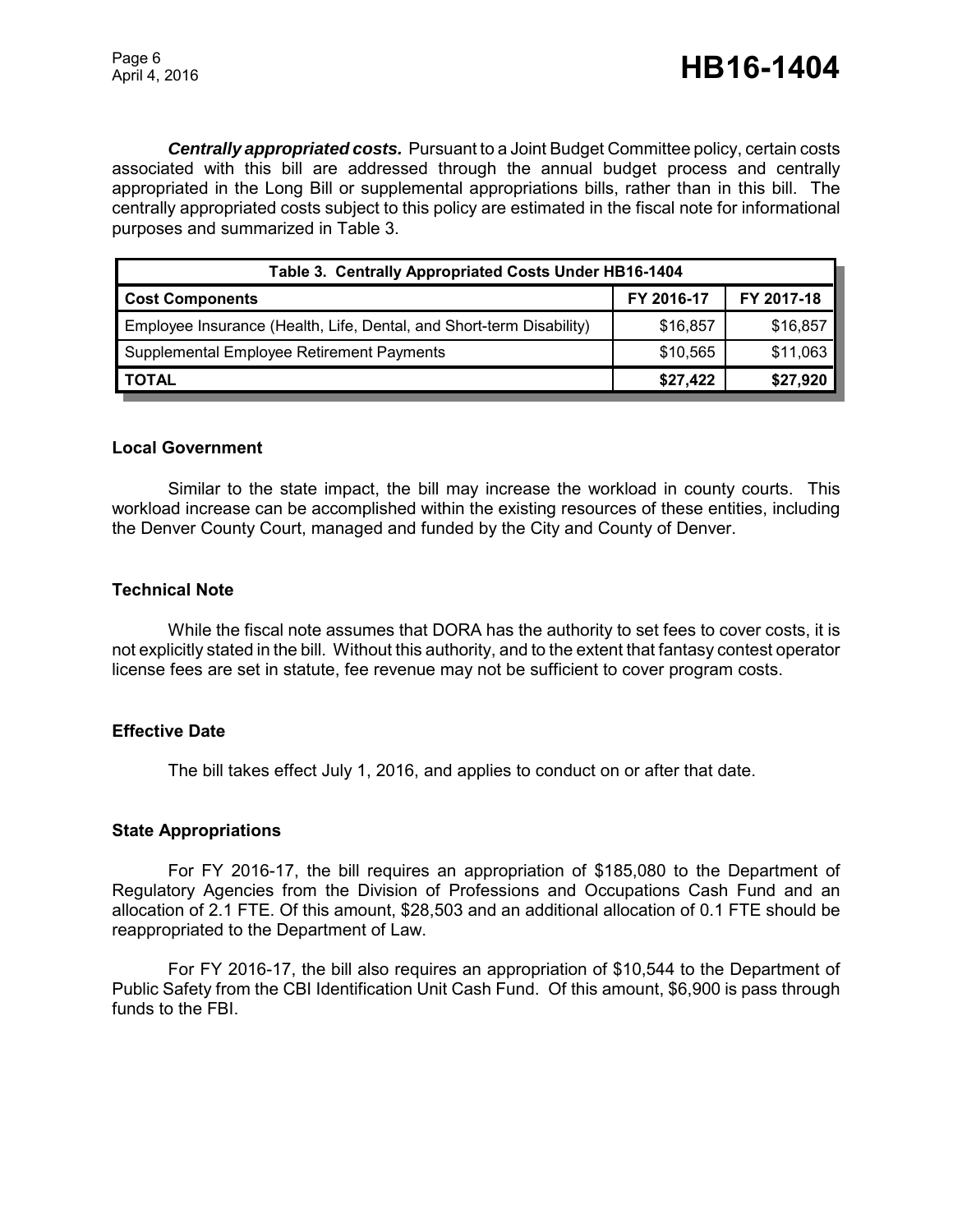*Centrally appropriated costs.* Pursuant to a Joint Budget Committee policy, certain costs associated with this bill are addressed through the annual budget process and centrally appropriated in the Long Bill or supplemental appropriations bills, rather than in this bill. The centrally appropriated costs subject to this policy are estimated in the fiscal note for informational purposes and summarized in Table 3.

| Table 3. Centrally Appropriated Costs Under HB16-1404                |            |            |  |  |
|----------------------------------------------------------------------|------------|------------|--|--|
| <b>Cost Components</b>                                               | FY 2016-17 | FY 2017-18 |  |  |
| Employee Insurance (Health, Life, Dental, and Short-term Disability) | \$16,857   | \$16,857   |  |  |
| Supplemental Employee Retirement Payments                            | \$10,565   | \$11,063   |  |  |
| <b>TOTAL</b>                                                         | \$27,422   | \$27,920   |  |  |

#### **Local Government**

Similar to the state impact, the bill may increase the workload in county courts. This workload increase can be accomplished within the existing resources of these entities, including the Denver County Court, managed and funded by the City and County of Denver.

#### **Technical Note**

While the fiscal note assumes that DORA has the authority to set fees to cover costs, it is not explicitly stated in the bill. Without this authority, and to the extent that fantasy contest operator license fees are set in statute, fee revenue may not be sufficient to cover program costs.

#### **Effective Date**

The bill takes effect July 1, 2016, and applies to conduct on or after that date.

#### **State Appropriations**

For FY 2016-17, the bill requires an appropriation of \$185,080 to the Department of Regulatory Agencies from the Division of Professions and Occupations Cash Fund and an allocation of 2.1 FTE. Of this amount, \$28,503 and an additional allocation of 0.1 FTE should be reappropriated to the Department of Law.

For FY 2016-17, the bill also requires an appropriation of \$10,544 to the Department of Public Safety from the CBI Identification Unit Cash Fund. Of this amount, \$6,900 is pass through funds to the FBI.